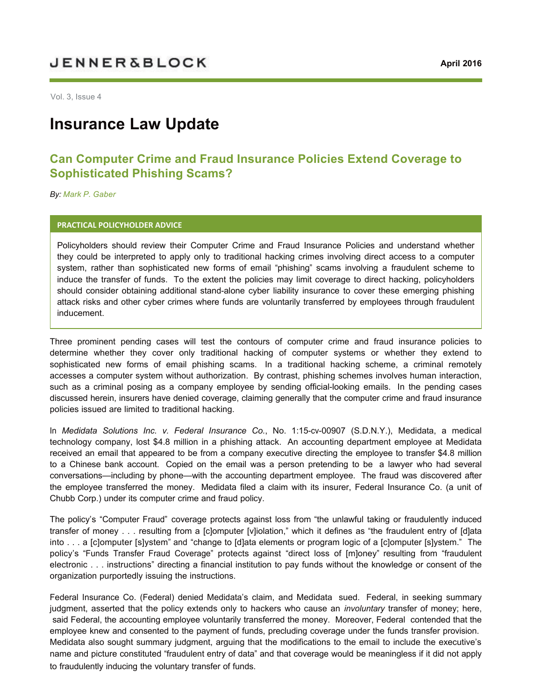# **JENNER&BLOCK**

Vol. 3, Issue 4

# **Insurance Law Update**

## **Can Computer Crime and Fraud Insurance Policies Extend Coverage to Sophisticated Phishing Scams?**

*By: [Mark P. Gaber](https://jenner.com/people/MarkGaber)*

#### **PRACTICAL POLICYHOLDER ADVICE**

Policyholders should review their Computer Crime and Fraud Insurance Policies and understand whether they could be interpreted to apply only to traditional hacking crimes involving direct access to a computer system, rather than sophisticated new forms of email "phishing" scams involving a fraudulent scheme to induce the transfer of funds. To the extent the policies may limit coverage to direct hacking, policyholders should consider obtaining additional stand-alone cyber liability insurance to cover these emerging phishing attack risks and other cyber crimes where funds are voluntarily transferred by employees through fraudulent inducement.

Three prominent pending cases will test the contours of computer crime and fraud insurance policies to determine whether they cover only traditional hacking of computer systems or whether they extend to sophisticated new forms of email phishing scams. In a traditional hacking scheme, a criminal remotely accesses a computer system without authorization. By contrast, phishing schemes involves human interaction, such as a criminal posing as a company employee by sending official-looking emails. In the pending cases discussed herein, insurers have denied coverage, claiming generally that the computer crime and fraud insurance policies issued are limited to traditional hacking.

In *Medidata Solutions Inc. v. Federal Insurance Co.*, No. 1:15-cv-00907 (S.D.N.Y.), Medidata, a medical technology company, lost \$4.8 million in a phishing attack. An accounting department employee at Medidata received an email that appeared to be from a company executive directing the employee to transfer \$4.8 million to a Chinese bank account. Copied on the email was a person pretending to be a lawyer who had several conversations—including by phone—with the accounting department employee. The fraud was discovered after the employee transferred the money. Medidata filed a claim with its insurer, Federal Insurance Co. (a unit of Chubb Corp.) under its computer crime and fraud policy.

The policy's "Computer Fraud" coverage protects against loss from "the unlawful taking or fraudulently induced transfer of money . . . resulting from a [c]omputer [v]iolation," which it defines as "the fraudulent entry of [d]ata into . . . a [c]omputer [s]ystem" and "change to [d]ata elements or program logic of a [c]omputer [s]ystem." The policy's "Funds Transfer Fraud Coverage" protects against "direct loss of [m]oney" resulting from "fraudulent electronic . . . instructions" directing a financial institution to pay funds without the knowledge or consent of the organization purportedly issuing the instructions.

Federal Insurance Co. (Federal) denied Medidata's claim, and Medidata sued. Federal, in seeking summary judgment, asserted that the policy extends only to hackers who cause an *involuntary* transfer of money; here, said Federal, the accounting employee voluntarily transferred the money. Moreover, Federal contended that the employee knew and consented to the payment of funds, precluding coverage under the funds transfer provision. Medidata also sought summary judgment, arguing that the modifications to the email to include the executive's name and picture constituted "fraudulent entry of data" and that coverage would be meaningless if it did not apply to fraudulently inducing the voluntary transfer of funds.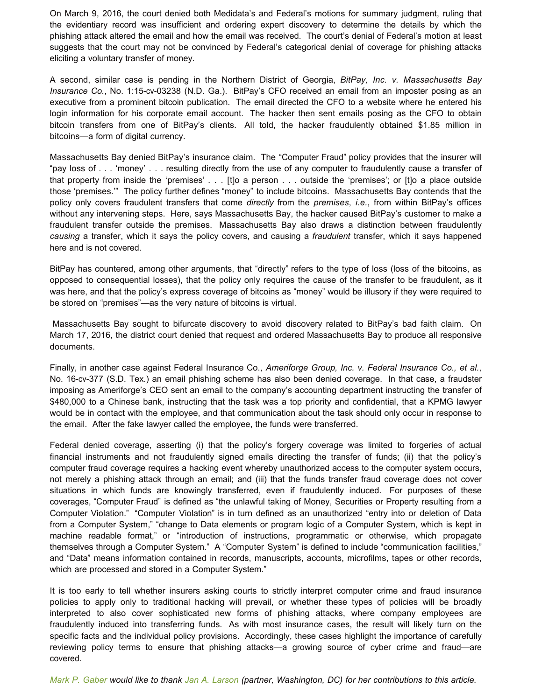On March 9, 2016, the court denied both Medidata's and Federal's motions for summary judgment, ruling that the evidentiary record was insufficient and ordering expert discovery to determine the details by which the phishing attack altered the email and how the email was received. The court's denial of Federal's motion at least suggests that the court may not be convinced by Federal's categorical denial of coverage for phishing attacks eliciting a voluntary transfer of money.

A second, similar case is pending in the Northern District of Georgia, *BitPay, Inc. v. Massachusetts Bay Insurance Co.*, No. 1:15-cv-03238 (N.D. Ga.). BitPay's CFO received an email from an imposter posing as an executive from a prominent bitcoin publication. The email directed the CFO to a website where he entered his login information for his corporate email account. The hacker then sent emails posing as the CFO to obtain bitcoin transfers from one of BitPay's clients. All told, the hacker fraudulently obtained \$1.85 million in bitcoins—a form of digital currency.

Massachusetts Bay denied BitPay's insurance claim. The "Computer Fraud" policy provides that the insurer will "pay loss of . . . 'money' . . . resulting directly from the use of any computer to fraudulently cause a transfer of that property from inside the 'premises' . . . [t]o a person . . . outside the 'premises'; or [t]o a place outside those 'premises.'" The policy further defines "money" to include bitcoins. Massachusetts Bay contends that the policy only covers fraudulent transfers that come *directly* from the *premises*, *i.e.*, from within BitPay's offices without any intervening steps. Here, says Massachusetts Bay, the hacker caused BitPay's customer to make a fraudulent transfer outside the premises. Massachusetts Bay also draws a distinction between fraudulently *causing* a transfer, which it says the policy covers, and causing a *fraudulent* transfer, which it says happened here and is not covered.

BitPay has countered, among other arguments, that "directly" refers to the type of loss (loss of the bitcoins, as opposed to consequential losses), that the policy only requires the cause of the transfer to be fraudulent, as it was here, and that the policy's express coverage of bitcoins as "money" would be illusory if they were required to be stored on "premises"—as the very nature of bitcoins is virtual.

Massachusetts Bay sought to bifurcate discovery to avoid discovery related to BitPay's bad faith claim. On March 17, 2016, the district court denied that request and ordered Massachusetts Bay to produce all responsive documents.

Finally, in another case against Federal Insurance Co., *Ameriforge Group, Inc. v. Federal Insurance Co., et al.*, No. 16-cv-377 (S.D. Tex.) an email phishing scheme has also been denied coverage. In that case, a fraudster imposing as Ameriforge's CEO sent an email to the company's accounting department instructing the transfer of \$480,000 to a Chinese bank, instructing that the task was a top priority and confidential, that a KPMG lawyer would be in contact with the employee, and that communication about the task should only occur in response to the email. After the fake lawyer called the employee, the funds were transferred.

Federal denied coverage, asserting (i) that the policy's forgery coverage was limited to forgeries of actual financial instruments and not fraudulently signed emails directing the transfer of funds; (ii) that the policy's computer fraud coverage requires a hacking event whereby unauthorized access to the computer system occurs, not merely a phishing attack through an email; and (iii) that the funds transfer fraud coverage does not cover situations in which funds are knowingly transferred, even if fraudulently induced. For purposes of these coverages, "Computer Fraud" is defined as "the unlawful taking of Money, Securities or Property resulting from a Computer Violation." "Computer Violation" is in turn defined as an unauthorized "entry into or deletion of Data from a Computer System," "change to Data elements or program logic of a Computer System, which is kept in machine readable format," or "introduction of instructions, programmatic or otherwise, which propagate themselves through a Computer System." A "Computer System" is defined to include "communication facilities," and "Data" means information contained in records, manuscripts, accounts, microfilms, tapes or other records, which are processed and stored in a Computer System."

It is too early to tell whether insurers asking courts to strictly interpret computer crime and fraud insurance policies to apply only to traditional hacking will prevail, or whether these types of policies will be broadly interpreted to also cover sophisticated new forms of phishing attacks, where company employees are fraudulently induced into transferring funds. As with most insurance cases, the result will likely turn on the specific facts and the individual policy provisions. Accordingly, these cases highlight the importance of carefully reviewing policy terms to ensure that phishing attacks—a growing source of cyber crime and fraud—are covered.

*[Mark P. Gaber](https://jenner.com/people/MarkGaber) would like to thank [Jan A. Larson](https://jenner.com/people/JanLarson) (partner, Washington, DC) for her contributions to this article.*